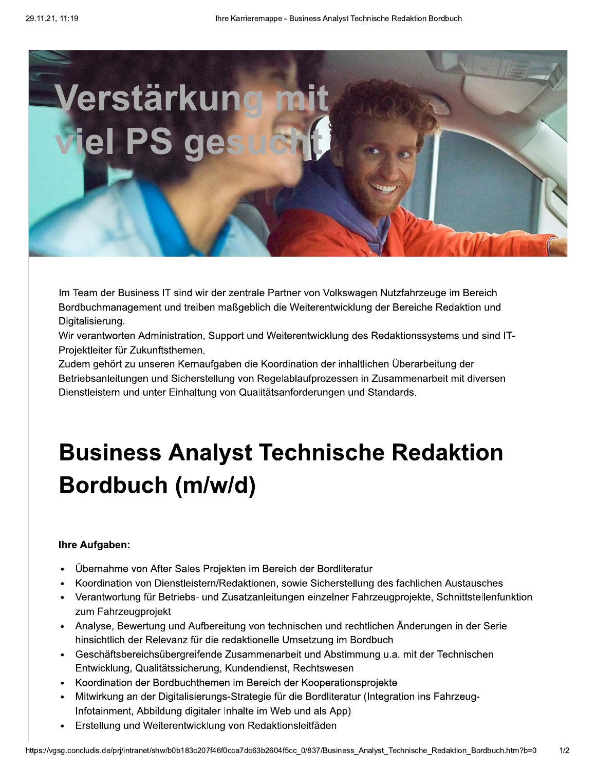

Im Team der Business IT sind wir der zentrale Partner von Volkswagen Nutzfahrzeuge im Bereich Bordbuchmanagement und treiben maßgeblich die Weiterentwicklung der Bereiche Redaktion und Digitalisierung.

Wir verantworten Administration, Support und Weiterentwicklung des Redaktionssystems und sind IT-Projektleiter für Zukunftsthemen.

Zudem gehört zu unseren Kernaufgaben die Koordination der inhaltlichen Überarbeitung der Betriebsanleitungen und Sicherstellung von Regelablaufprozessen in Zusammenarbeit mit diversen Dienstleistern und unter Einhaltung von Qualitätsanforderungen und Standards.

## **Business Analyst Technische Redaktion** Bordbuch (m/w/d)

## **Ihre Aufgaben:**

- Übernahme von After Sales Projekten im Bereich der Bordliteratur
- Koordination von Dienstleistern/Redaktionen, sowie Sicherstellung des fachlichen Austausches
- Verantwortung für Betriebs- und Zusatzanleitungen einzelner Fahrzeugprojekte, Schnittstellenfunktion  $\bullet$ zum Fahrzeugprojekt
- Analyse, Bewertung und Aufbereitung von technischen und rechtlichen Änderungen in der Serie hinsichtlich der Relevanz für die redaktionelle Umsetzung im Bordbuch
- Geschäftsbereichsübergreifende Zusammenarbeit und Abstimmung u.a. mit der Technischen Entwicklung, Qualitätssicherung, Kundendienst, Rechtswesen
- Koordination der Bordbuchthemen im Bereich der Kooperationsprojekte
- Mitwirkung an der Digitalisierungs-Strategie für die Bordliteratur (Integration ins Fahrzeug-Infotainment, Abbildung digitaler Inhalte im Web und als App)
- Erstellung und Weiterentwicklung von Redaktionsleitfäden